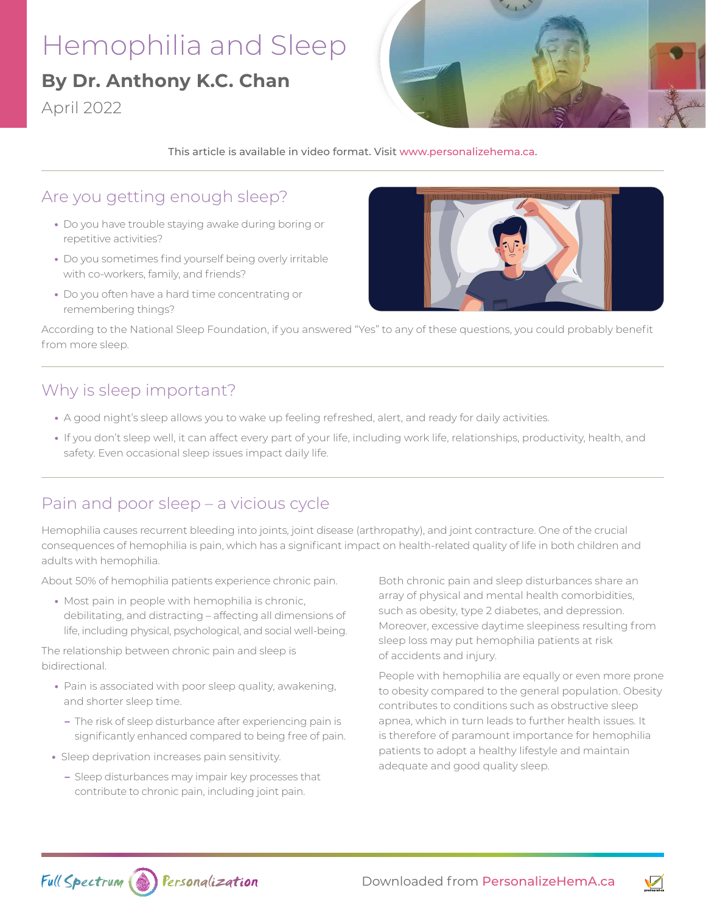# Hemophilia and Sleep

# **By Dr. Anthony K.C. Chan**

April 2022



This article is available in video format. Visit [www.personalizehema.ca.](https://www.personalizehema.ca/)

#### Are you getting enough sleep?

- **•** Do you have trouble staying awake during boring or repetitive activities?
- **•** Do you sometimes find yourself being overly irritable with co-workers, family, and friends?
- **•** Do you often have a hard time concentrating or remembering things?



According to the National Sleep Foundation, if you answered "Yes" to any of these questions, you could probably benefit from more sleep.

#### Why is sleep important?

- **•** A good night's sleep allows you to wake up feeling refreshed, alert, and ready for daily activities.
- **•** If you don't sleep well, it can affect every part of your life, including work life, relationships, productivity, health, and safety. Even occasional sleep issues impact daily life.

# Pain and poor sleep – a vicious cycle

Hemophilia causes recurrent bleeding into joints, joint disease (arthropathy), and joint contracture. One of the crucial consequences of hemophilia is pain, which has a significant impact on health-related quality of life in both children and adults with hemophilia.

About 50% of hemophilia patients experience chronic pain.

**•** Most pain in people with hemophilia is chronic, debilitating, and distracting – affecting all dimensions of life, including physical, psychological, and social well-being.

The relationship between chronic pain and sleep is bidirectional.

- **•** Pain is associated with poor sleep quality, awakening, and shorter sleep time.
- **–** The risk of sleep disturbance after experiencing pain is significantly enhanced compared to being free of pain.
- **•** Sleep deprivation increases pain sensitivity.
	- **–** Sleep disturbances may impair key processes that contribute to chronic pain, including joint pain.

Both chronic pain and sleep disturbances share an array of physical and mental health comorbidities, such as obesity, type 2 diabetes, and depression. Moreover, excessive daytime sleepiness resulting from sleep loss may put hemophilia patients at risk of accidents and injury.

People with hemophilia are equally or even more prone to obesity compared to the general population. Obesity contributes to conditions such as obstructive sleep apnea, which in turn leads to further health issues. It is therefore of paramount importance for hemophilia patients to adopt a healthy lifestyle and maintain adequate and good quality sleep.



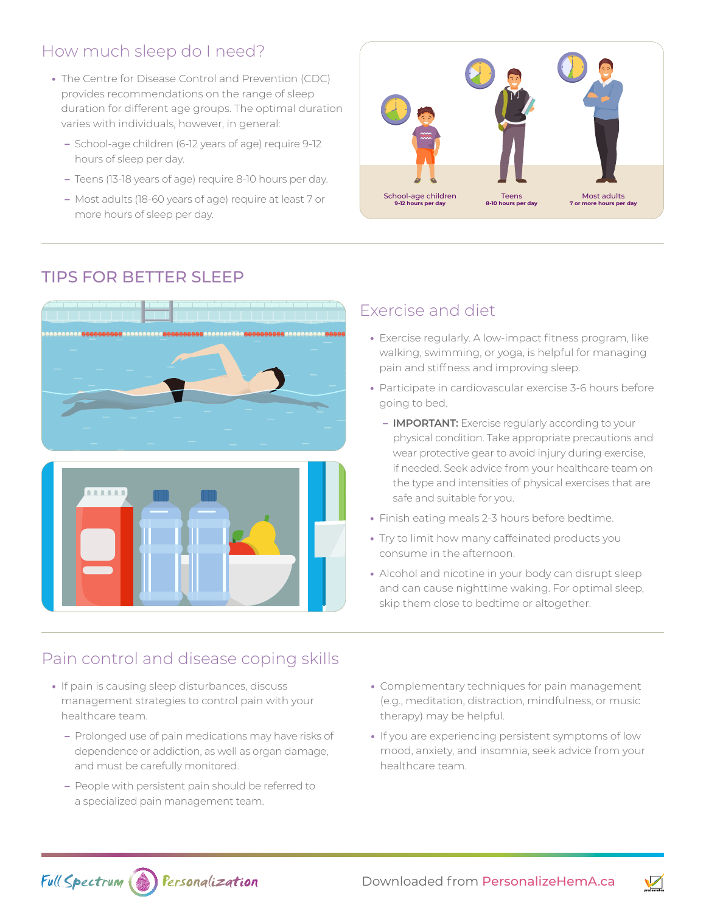# How much sleep do I need?

- **•** The Centre for Disease Control and Prevention (CDC) provides recommendations on the range of sleep duration for different age groups. The optimal duration varies with individuals, however, in general:
	- **–** School-age children (6-12 years of age) require 9-12 hours of sleep per day.
	- **–** Teens (13-18 years of age) require 8-10 hours per day.
	- **–** Most adults (18-60 years of age) require at least 7 or more hours of sleep per day.



# TIPS FOR BETTER SLEEP



#### Exercise and diet

- **•** Exercise regularly. A low-impact fitness program, like walking, swimming, or yoga, is helpful for managing pain and stiffness and improving sleep.
- **•** Participate in cardiovascular exercise 3-6 hours before going to bed.
	- **– IMPORTANT:** Exercise regularly according to your physical condition. Take appropriate precautions and wear protective gear to avoid injury during exercise, if needed. Seek advice from your healthcare team on the type and intensities of physical exercises that are safe and suitable for you.
- **•** Finish eating meals 2-3 hours before bedtime.
- **•** Try to limit how many caffeinated products you consume in the afternoon.
- **•** Alcohol and nicotine in your body can disrupt sleep and can cause nighttime waking. For optimal sleep, skip them close to bedtime or altogether.

#### Pain control and disease coping skills

- **•** If pain is causing sleep disturbances, discuss management strategies to control pain with your healthcare team.
	- **–** Prolonged use of pain medications may have risks of dependence or addiction, as well as organ damage, and must be carefully monitored.
	- **–** People with persistent pain should be referred to a specialized pain management team.
- **•** Complementary techniques for pain management (e.g., meditation, distraction, mindfulness, or music therapy) may be helpful.
- **•** If you are experiencing persistent symptoms of low mood, anxiety, and insomnia, seek advice from your healthcare team.